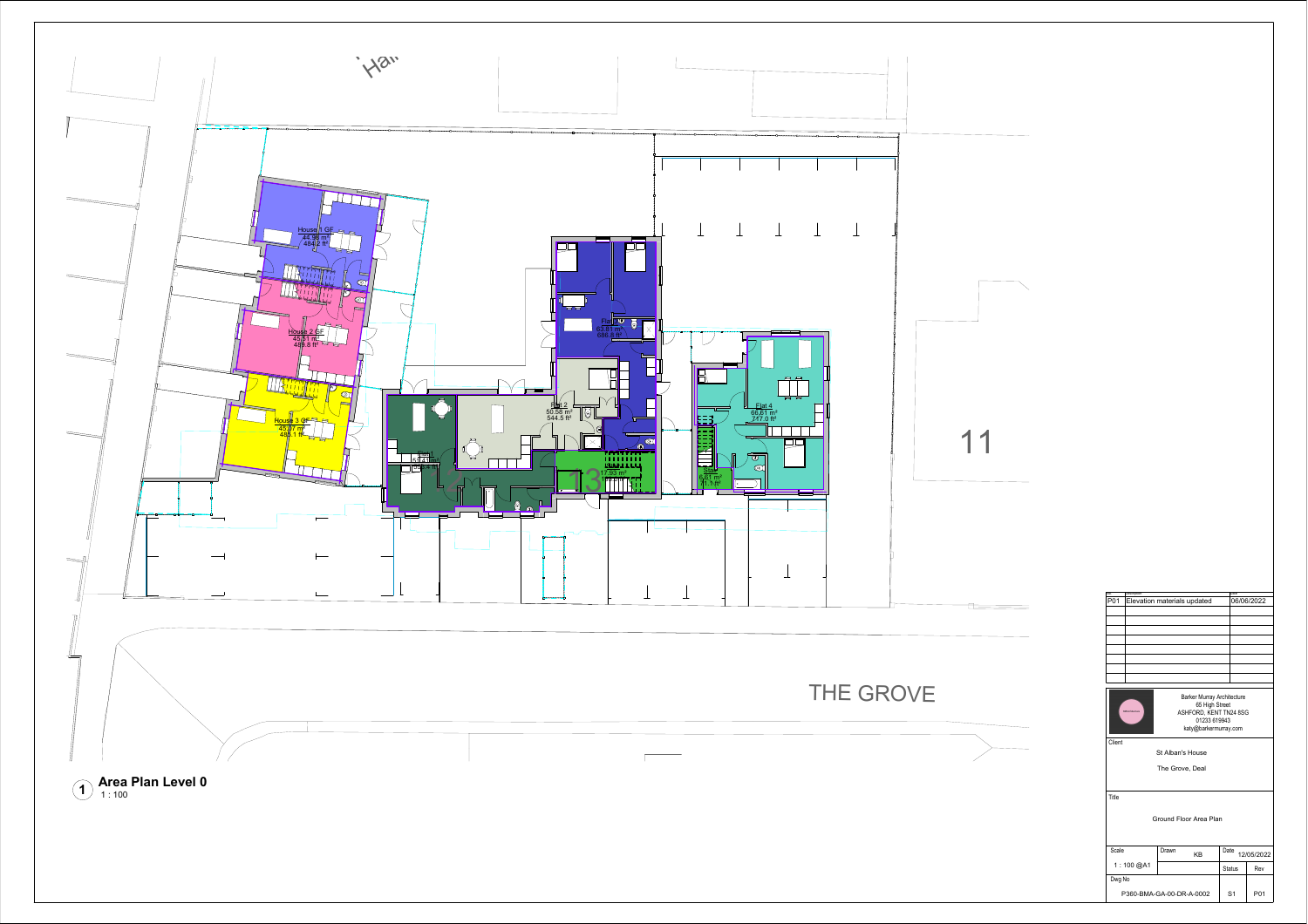

Barker Murray Architecture 65 High Street ASHFORD, KENT TN24 8SG 01233 619943 katy@barkermurray.com

Client

Title

| .                        |       |    |                    |     |  |  |  |
|--------------------------|-------|----|--------------------|-----|--|--|--|
| Ground Floor Area Plan   |       |    |                    |     |  |  |  |
| Scale                    | Drawn | KB | Date<br>12/05/2022 |     |  |  |  |
| 1:100 @A1                |       |    | <b>Status</b>      | Rev |  |  |  |
| Dwg No                   |       |    |                    |     |  |  |  |
| P360-BMA-GA-00-DR-A-0002 |       |    | S <sub>1</sub>     | P01 |  |  |  |

St Alban's House

The Grove, Deal

| No. | Description                 | Date       |  |
|-----|-----------------------------|------------|--|
| P01 | Elevation materials updated | 06/06/2022 |  |
|     |                             |            |  |
|     |                             |            |  |
|     |                             |            |  |
|     |                             |            |  |
|     |                             |            |  |
|     |                             |            |  |
|     |                             |            |  |
|     |                             |            |  |
|     |                             |            |  |